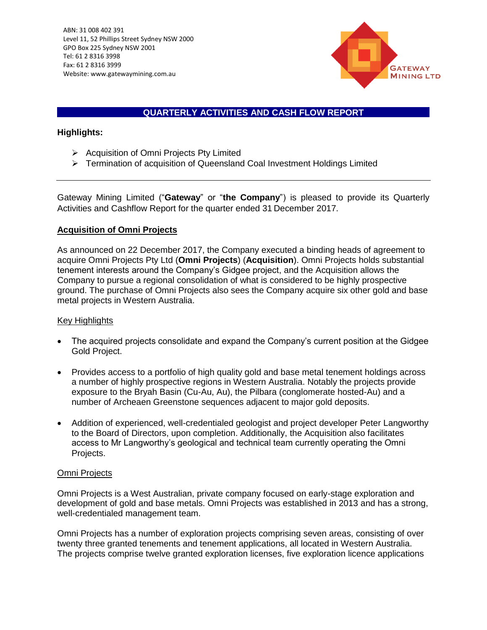

# **QUARTERLY ACTIVITIES AND CASH FLOW REPORT**

 $\mathcal{L}$ 

## **Highlights:**

- ➢ Acquisition of Omni Projects Pty Limited
- ➢ Termination of acquisition of Queensland Coal Investment Holdings Limited

Gateway Mining Limited ("**Gateway**" or "**the Company**") is pleased to provide its Quarterly Activities and Cashflow Report for the quarter ended 31 December 2017.

### **Acquisition of Omni Projects**

As announced on 22 December 2017, the Company executed a binding heads of agreement to acquire Omni Projects Pty Ltd (**Omni Projects**) (**Acquisition**). Omni Projects holds substantial tenement interests around the Company's Gidgee project, and the Acquisition allows the Company to pursue a regional consolidation of what is considered to be highly prospective ground. The purchase of Omni Projects also sees the Company acquire six other gold and base metal projects in Western Australia.

### Key Highlights

- The acquired projects consolidate and expand the Company's current position at the Gidgee Gold Project.
- Provides access to a portfolio of high quality gold and base metal tenement holdings across a number of highly prospective regions in Western Australia. Notably the projects provide exposure to the Bryah Basin (Cu-Au, Au), the Pilbara (conglomerate hosted-Au) and a number of Archeaen Greenstone sequences adjacent to major gold deposits.
- Addition of experienced, well-credentialed geologist and project developer Peter Langworthy to the Board of Directors, upon completion. Additionally, the Acquisition also facilitates access to Mr Langworthy's geological and technical team currently operating the Omni Projects.

### Omni Projects

Omni Projects is a West Australian, private company focused on early-stage exploration and development of gold and base metals. Omni Projects was established in 2013 and has a strong, well-credentialed management team.

Omni Projects has a number of exploration projects comprising seven areas, consisting of over twenty three granted tenements and tenement applications, all located in Western Australia. The projects comprise twelve granted exploration licenses, five exploration licence applications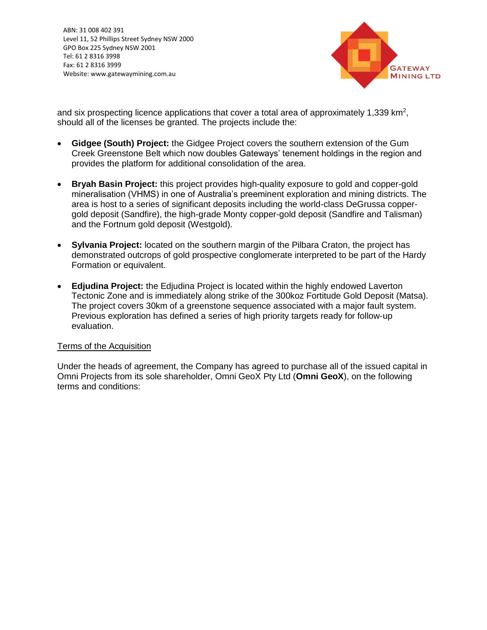$\mathcal{L}$ ABN: 31 008 402 391 Level 11, 52 Phillips Street Sydney NSW 2000 GPO Box 225 Sydney NSW 2001 Tel: 61 2 8316 3998 Fax: 61 2 8316 3999 Website: www.gatewaymining.com.au



and six prospecting licence applications that cover a total area of approximately 1,339  $\text{km}^2$ , should all of the licenses be granted. The projects include the:

- **Gidgee (South) Project:** the Gidgee Project covers the southern extension of the Gum Creek Greenstone Belt which now doubles Gateways' tenement holdings in the region and provides the platform for additional consolidation of the area.
- **Bryah Basin Project:** this project provides high-quality exposure to gold and copper-gold mineralisation (VHMS) in one of Australia's preeminent exploration and mining districts. The area is host to a series of significant deposits including the world-class DeGrussa coppergold deposit (Sandfire), the high-grade Monty copper-gold deposit (Sandfire and Talisman) and the Fortnum gold deposit (Westgold).
- **Sylvania Project:** located on the southern margin of the Pilbara Craton, the project has demonstrated outcrops of gold prospective conglomerate interpreted to be part of the Hardy Formation or equivalent.
- **Edjudina Project:** the Edjudina Project is located within the highly endowed Laverton Tectonic Zone and is immediately along strike of the 300koz Fortitude Gold Deposit (Matsa). The project covers 30km of a greenstone sequence associated with a major fault system. Previous exploration has defined a series of high priority targets ready for follow-up evaluation.

### Terms of the Acquisition

Under the heads of agreement, the Company has agreed to purchase all of the issued capital in Omni Projects from its sole shareholder, Omni GeoX Pty Ltd (**Omni GeoX**), on the following terms and conditions: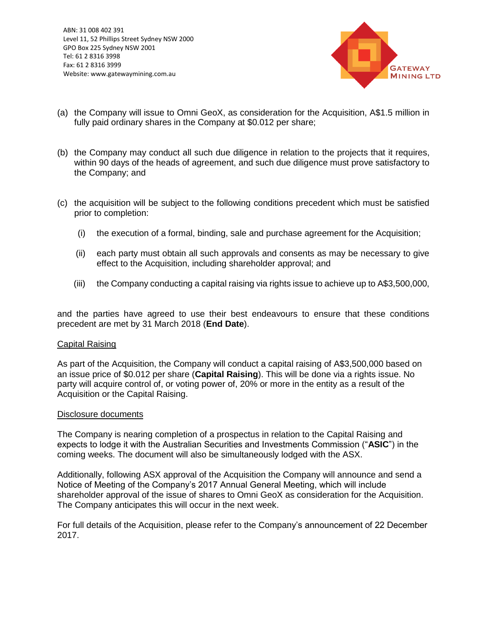$\mathcal{L}$ ABN: 31 008 402 391 Level 11, 52 Phillips Street Sydney NSW 2000 GPO Box 225 Sydney NSW 2001 Tel: 61 2 8316 3998 Fax: 61 2 8316 3999 Website: www.gatewaymining.com.au



- (a) the Company will issue to Omni GeoX, as consideration for the Acquisition, A\$1.5 million in fully paid ordinary shares in the Company at \$0.012 per share;
- (b) the Company may conduct all such due diligence in relation to the projects that it requires, within 90 days of the heads of agreement, and such due diligence must prove satisfactory to the Company; and
- (c) the acquisition will be subject to the following conditions precedent which must be satisfied prior to completion:
	- (i) the execution of a formal, binding, sale and purchase agreement for the Acquisition;
	- (ii) each party must obtain all such approvals and consents as may be necessary to give effect to the Acquisition, including shareholder approval; and
	- (iii) the Company conducting a capital raising via rights issue to achieve up to A\$3,500,000,

and the parties have agreed to use their best endeavours to ensure that these conditions precedent are met by 31 March 2018 (**End Date**).

#### Capital Raising

As part of the Acquisition, the Company will conduct a capital raising of A\$3,500,000 based on an issue price of \$0.012 per share (**Capital Raising**). This will be done via a rights issue. No party will acquire control of, or voting power of, 20% or more in the entity as a result of the Acquisition or the Capital Raising.

#### Disclosure documents

The Company is nearing completion of a prospectus in relation to the Capital Raising and expects to lodge it with the Australian Securities and Investments Commission ("**ASIC**") in the coming weeks. The document will also be simultaneously lodged with the ASX.

Additionally, following ASX approval of the Acquisition the Company will announce and send a Notice of Meeting of the Company's 2017 Annual General Meeting, which will include shareholder approval of the issue of shares to Omni GeoX as consideration for the Acquisition. The Company anticipates this will occur in the next week.

For full details of the Acquisition, please refer to the Company's announcement of 22 December 2017.